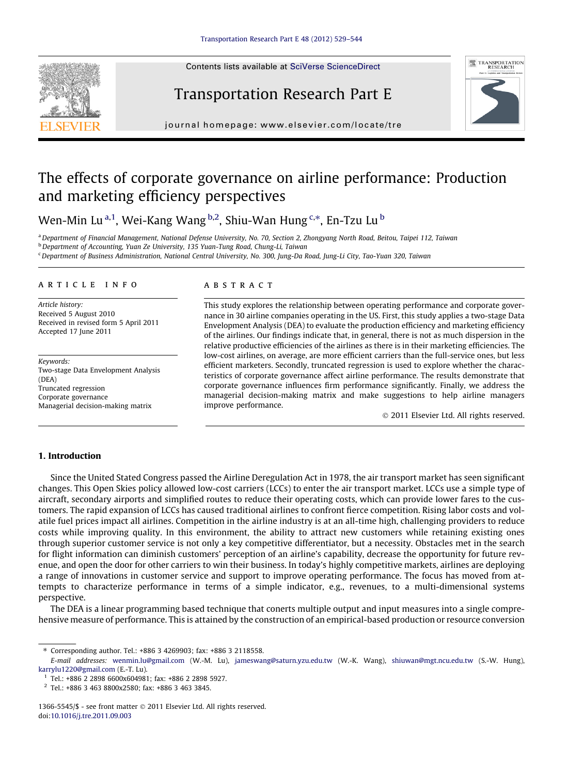Contents lists available at [SciVerse ScienceDirect](http://www.sciencedirect.com/science/journal/13665545)

# Transportation Research Part E



journal homepage: [www.elsevier.com/locate/tre](http://www.elsevier.com/locate/tre)

## The effects of corporate governance on airline performance: Production and marketing efficiency perspectives

Wen-Min Lu<sup>a,1</sup>, Wei-Kang Wang <sup>b,2</sup>, Shiu-Wan Hung <sup>c,\*</sup>, En-Tzu Lu <sup>b</sup>

<sup>a</sup> Department of Financial Management, National Defense University, No. 70, Section 2, Zhongyang North Road, Beitou, Taipei 112, Taiwan **b** Department of Accounting, Yuan Ze University, 135 Yuan-Tung Road, Chung-Li, Taiwan

<sup>c</sup>Department of Business Administration, National Central University, No. 300, Jung-Da Road, Jung-Li City, Tao-Yuan 320, Taiwan

#### article info

Article history: Received 5 August 2010 Received in revised form 5 April 2011 Accepted 17 June 2011

Keywords: Two-stage Data Envelopment Analysis (DEA) Truncated regression Corporate governance Managerial decision-making matrix

#### **ARSTRACT**

This study explores the relationship between operating performance and corporate governance in 30 airline companies operating in the US. First, this study applies a two-stage Data Envelopment Analysis (DEA) to evaluate the production efficiency and marketing efficiency of the airlines. Our findings indicate that, in general, there is not as much dispersion in the relative productive efficiencies of the airlines as there is in their marketing efficiencies. The low-cost airlines, on average, are more efficient carriers than the full-service ones, but less efficient marketers. Secondly, truncated regression is used to explore whether the characteristics of corporate governance affect airline performance. The results demonstrate that corporate governance influences firm performance significantly. Finally, we address the managerial decision-making matrix and make suggestions to help airline managers improve performance.

- 2011 Elsevier Ltd. All rights reserved.

### 1. Introduction

Since the United Stated Congress passed the Airline Deregulation Act in 1978, the air transport market has seen significant changes. This Open Skies policy allowed low-cost carriers (LCCs) to enter the air transport market. LCCs use a simple type of aircraft, secondary airports and simplified routes to reduce their operating costs, which can provide lower fares to the customers. The rapid expansion of LCCs has caused traditional airlines to confront fierce competition. Rising labor costs and volatile fuel prices impact all airlines. Competition in the airline industry is at an all-time high, challenging providers to reduce costs while improving quality. In this environment, the ability to attract new customers while retaining existing ones through superior customer service is not only a key competitive differentiator, but a necessity. Obstacles met in the search for flight information can diminish customers' perception of an airline's capability, decrease the opportunity for future revenue, and open the door for other carriers to win their business. In today's highly competitive markets, airlines are deploying a range of innovations in customer service and support to improve operating performance. The focus has moved from attempts to characterize performance in terms of a simple indicator, e.g., revenues, to a multi-dimensional systems perspective.

The DEA is a linear programming based technique that conerts multiple output and input measures into a single comprehensive measure of performance. This is attained by the construction of an empirical-based production or resource conversion



<sup>⇑</sup> Corresponding author. Tel.: +886 3 4269903; fax: +886 3 2118558.

E-mail addresses: [wenmin.lu@gmail.com](mailto:wenmin.lu@gmail.com) (W.-M. Lu), [jameswang@saturn.yzu.edu.tw](mailto:jameswang@saturn.yzu.edu.tw) (W.-K. Wang), [shiuwan@mgt.ncu.edu.tw](mailto:shiuwan@mgt.ncu.edu.tw) (S.-W. Hung), [karrylu1220@gmail.com](mailto:karrylu1220@gmail.com) (E.-T. Lu).

<sup>1</sup> Tel.: +886 2 2898 6600x604981; fax: +886 2 2898 5927.

<sup>2</sup> Tel.: +886 3 463 8800x2580; fax: +886 3 463 3845.

<sup>1366-5545/\$ -</sup> see front matter  $\odot$  2011 Elsevier Ltd. All rights reserved. doi:[10.1016/j.tre.2011.09.003](http://dx.doi.org/10.1016/j.tre.2011.09.003)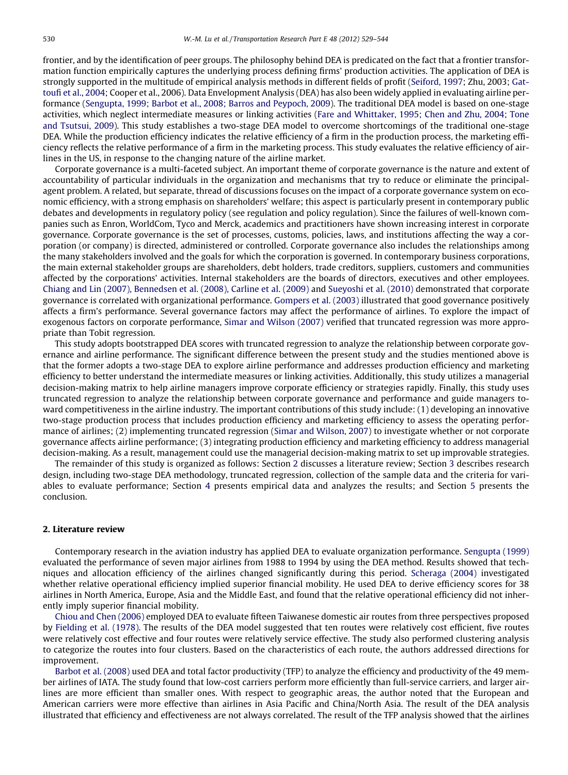frontier, and by the identification of peer groups. The philosophy behind DEA is predicated on the fact that a frontier transformation function empirically captures the underlying process defining firms' production activities. The application of DEA is strongly supported in the multitude of empirical analysis methods in different fields of profit [\(Seiford, 1997;](#page--1-0) Zhu, 2003; [Gat](#page--1-0)[toufi et al., 2004;](#page--1-0) Cooper et al., 2006). Data Envelopment Analysis (DEA) has also been widely applied in evaluating airline performance [\(Sengupta, 1999; Barbot et al., 2008; Barros and Peypoch, 2009\)](#page--1-0). The traditional DEA model is based on one-stage activities, which neglect intermediate measures or linking activities [\(Fare and Whittaker, 1995; Chen and Zhu, 2004; Tone](#page--1-0) [and Tsutsui, 2009](#page--1-0)). This study establishes a two-stage DEA model to overcome shortcomings of the traditional one-stage DEA. While the production efficiency indicates the relative efficiency of a firm in the production process, the marketing efficiency reflects the relative performance of a firm in the marketing process. This study evaluates the relative efficiency of airlines in the US, in response to the changing nature of the airline market.

Corporate governance is a multi-faceted subject. An important theme of corporate governance is the nature and extent of accountability of particular individuals in the organization and mechanisms that try to reduce or eliminate the principalagent problem. A related, but separate, thread of discussions focuses on the impact of a corporate governance system on economic efficiency, with a strong emphasis on shareholders' welfare; this aspect is particularly present in contemporary public debates and developments in regulatory policy (see regulation and policy regulation). Since the failures of well-known companies such as Enron, WorldCom, Tyco and Merck, academics and practitioners have shown increasing interest in corporate governance. Corporate governance is the set of processes, customs, policies, laws, and institutions affecting the way a corporation (or company) is directed, administered or controlled. Corporate governance also includes the relationships among the many stakeholders involved and the goals for which the corporation is governed. In contemporary business corporations, the main external stakeholder groups are shareholders, debt holders, trade creditors, suppliers, customers and communities affected by the corporations' activities. Internal stakeholders are the boards of directors, executives and other employees. [Chiang and Lin \(2007\), Bennedsen et al. \(2008\), Carline et al. \(2009\)](#page--1-0) and [Sueyoshi et al. \(2010\)](#page--1-0) demonstrated that corporate governance is correlated with organizational performance. [Gompers et al. \(2003\)](#page--1-0) illustrated that good governance positively affects a firm's performance. Several governance factors may affect the performance of airlines. To explore the impact of exogenous factors on corporate performance, [Simar and Wilson \(2007\)](#page--1-0) verified that truncated regression was more appropriate than Tobit regression.

This study adopts bootstrapped DEA scores with truncated regression to analyze the relationship between corporate governance and airline performance. The significant difference between the present study and the studies mentioned above is that the former adopts a two-stage DEA to explore airline performance and addresses production efficiency and marketing efficiency to better understand the intermediate measures or linking activities. Additionally, this study utilizes a managerial decision-making matrix to help airline managers improve corporate efficiency or strategies rapidly. Finally, this study uses truncated regression to analyze the relationship between corporate governance and performance and guide managers toward competitiveness in the airline industry. The important contributions of this study include: (1) developing an innovative two-stage production process that includes production efficiency and marketing efficiency to assess the operating performance of airlines; (2) implementing truncated regression ([Simar and Wilson, 2007](#page--1-0)) to investigate whether or not corporate governance affects airline performance; (3) integrating production efficiency and marketing efficiency to address managerial decision-making. As a result, management could use the managerial decision-making matrix to set up improvable strategies.

The remainder of this study is organized as follows: Section 2 discusses a literature review; Section 3 describes research design, including two-stage DEA methodology, truncated regression, collection of the sample data and the criteria for variables to evaluate performance; Section 4 presents empirical data and analyzes the results; and Section 5 presents the conclusion.

### 2. Literature review

Contemporary research in the aviation industry has applied DEA to evaluate organization performance. [Sengupta \(1999\)](#page--1-0) evaluated the performance of seven major airlines from 1988 to 1994 by using the DEA method. Results showed that techniques and allocation efficiency of the airlines changed significantly during this period. [Scheraga \(2004\)](#page--1-0) investigated whether relative operational efficiency implied superior financial mobility. He used DEA to derive efficiency scores for 38 airlines in North America, Europe, Asia and the Middle East, and found that the relative operational efficiency did not inherently imply superior financial mobility.

[Chiou and Chen \(2006\)](#page--1-0) employed DEA to evaluate fifteen Taiwanese domestic air routes from three perspectives proposed by [Fielding et al. \(1978\).](#page--1-0) The results of the DEA model suggested that ten routes were relatively cost efficient, five routes were relatively cost effective and four routes were relatively service effective. The study also performed clustering analysis to categorize the routes into four clusters. Based on the characteristics of each route, the authors addressed directions for improvement.

[Barbot et al. \(2008\)](#page--1-0) used DEA and total factor productivity (TFP) to analyze the efficiency and productivity of the 49 member airlines of IATA. The study found that low-cost carriers perform more efficiently than full-service carriers, and larger airlines are more efficient than smaller ones. With respect to geographic areas, the author noted that the European and American carriers were more effective than airlines in Asia Pacific and China/North Asia. The result of the DEA analysis illustrated that efficiency and effectiveness are not always correlated. The result of the TFP analysis showed that the airlines